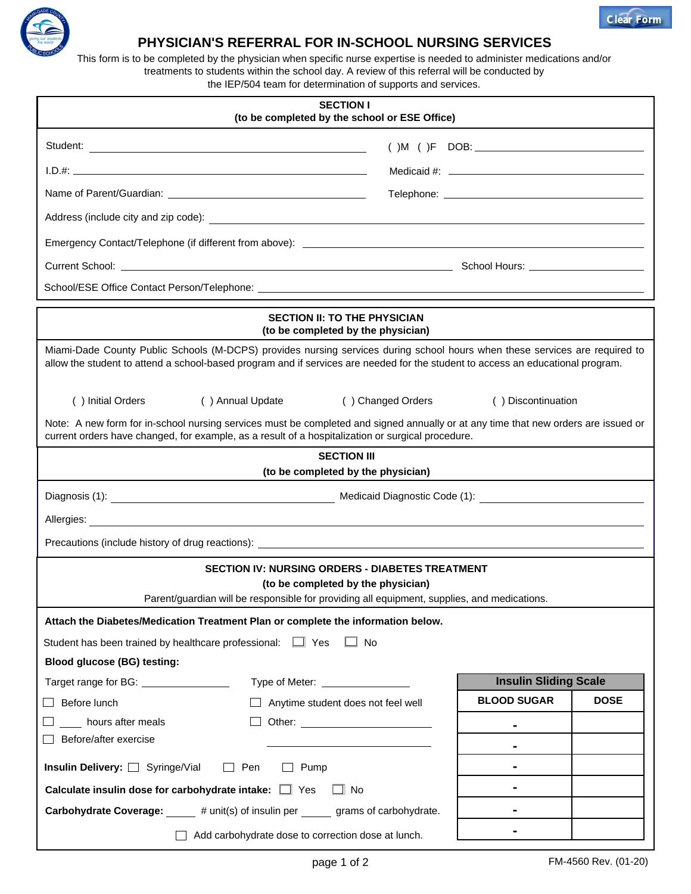

## **PHYSICIAN'S REFERRAL FOR IN-SCHOOL NURSING SERVICES**

This form is to be completed by the physician when specific nurse expertise is needed to administer medications and/or treatments to students within the school day. A review of this referral will be conducted by the IEP/504 team for determination of supports and services.

| <b>SECTION I</b><br>(to be completed by the school or ESE Office)                                                                                                                                                                                              |                                                                  |  |  |  |
|----------------------------------------------------------------------------------------------------------------------------------------------------------------------------------------------------------------------------------------------------------------|------------------------------------------------------------------|--|--|--|
| Student:                                                                                                                                                                                                                                                       |                                                                  |  |  |  |
|                                                                                                                                                                                                                                                                |                                                                  |  |  |  |
|                                                                                                                                                                                                                                                                |                                                                  |  |  |  |
|                                                                                                                                                                                                                                                                |                                                                  |  |  |  |
|                                                                                                                                                                                                                                                                |                                                                  |  |  |  |
|                                                                                                                                                                                                                                                                |                                                                  |  |  |  |
|                                                                                                                                                                                                                                                                |                                                                  |  |  |  |
| <b>SECTION II: TO THE PHYSICIAN</b><br>(to be completed by the physician)                                                                                                                                                                                      |                                                                  |  |  |  |
| Miami-Dade County Public Schools (M-DCPS) provides nursing services during school hours when these services are required to<br>allow the student to attend a school-based program and if services are needed for the student to access an educational program. |                                                                  |  |  |  |
| () Annual Update<br>() Changed Orders<br>() Discontinuation<br>() Initial Orders                                                                                                                                                                               |                                                                  |  |  |  |
| Note: A new form for in-school nursing services must be completed and signed annually or at any time that new orders are issued or<br>current orders have changed, for example, as a result of a hospitalization or surgical procedure.                        |                                                                  |  |  |  |
| <b>SECTION III</b>                                                                                                                                                                                                                                             |                                                                  |  |  |  |
| (to be completed by the physician)                                                                                                                                                                                                                             |                                                                  |  |  |  |
|                                                                                                                                                                                                                                                                |                                                                  |  |  |  |
| Allergies: <u>Contract Communication</u> Contract Communication Communication Communication Communication Communication                                                                                                                                        |                                                                  |  |  |  |
|                                                                                                                                                                                                                                                                |                                                                  |  |  |  |
| <b>SECTION IV: NURSING ORDERS - DIABETES TREATMENT</b><br>(to be completed by the physician)<br>Parent/guardian will be responsible for providing all equipment, supplies, and medications.                                                                    |                                                                  |  |  |  |
| Attach the Diabetes/Medication Treatment Plan or complete the information below.                                                                                                                                                                               |                                                                  |  |  |  |
| Student has been trained by healthcare professional: $\Box$ Yes<br>∟l No                                                                                                                                                                                       |                                                                  |  |  |  |
| <b>Blood glucose (BG) testing:</b>                                                                                                                                                                                                                             |                                                                  |  |  |  |
| Target range for BG: <u>_____________________</u>                                                                                                                                                                                                              | <b>Insulin Sliding Scale</b><br>Type of Meter: _________________ |  |  |  |
| Before lunch<br>$\Box$ Anytime student does not feel well                                                                                                                                                                                                      | <b>BLOOD SUGAR</b><br><b>DOSE</b>                                |  |  |  |
| hours after meals                                                                                                                                                                                                                                              |                                                                  |  |  |  |
| Before/after exercise                                                                                                                                                                                                                                          |                                                                  |  |  |  |
| Insulin Delivery: Syringe/Vial<br>Pen<br>Pump<br>$\mathbf{1}$                                                                                                                                                                                                  |                                                                  |  |  |  |
| Calculate insulin dose for carbohydrate intake: $\Box$ Yes<br>$\Box$ No                                                                                                                                                                                        |                                                                  |  |  |  |
| <b>Carbohydrate Coverage:</b> # unit(s) of insulin per grams of carbohydrate.                                                                                                                                                                                  |                                                                  |  |  |  |
| Add carbohydrate dose to correction dose at lunch.                                                                                                                                                                                                             |                                                                  |  |  |  |

**Clear Form**